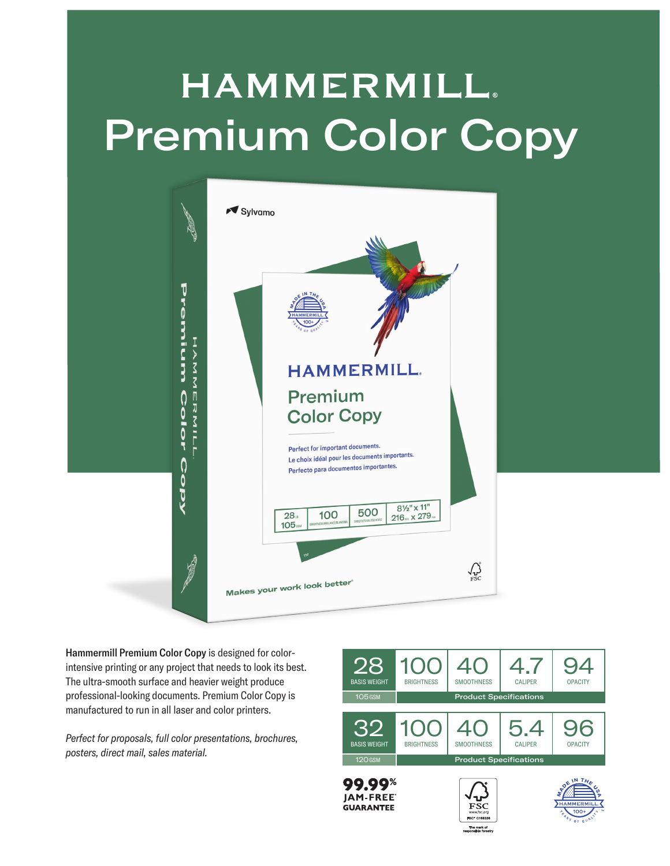## **HAMMERMILL**. Premium Color Copy



Hammermill Premium Color Copy is designed for colorintensive printing or any project that needs to look its best. The ultra-smooth surface and heavier weight produce professional-looking documents. Premium Color Copy is manufactured to run in all laser and color printers.

*Perfect for proposals, full color presentations, brochures, posters, direct mail, sales material.*